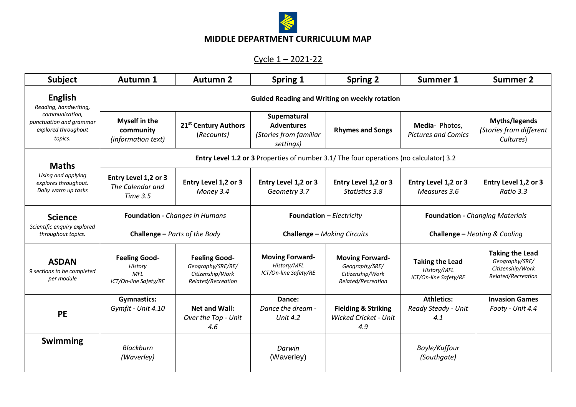

## **MIDDLE DEPARTMENT CURRICULUM MAP**

## Cycle 1 – 2021-22

| <b>Subject</b>                                                                                                         | <b>Autumn 1</b>                                                                               | <b>Autumn 2</b>                                                                     | Spring 1                                                                 | <b>Spring 2</b>                                                                    | <b>Summer 1</b>                                                         | <b>Summer 2</b>                                                                    |  |  |
|------------------------------------------------------------------------------------------------------------------------|-----------------------------------------------------------------------------------------------|-------------------------------------------------------------------------------------|--------------------------------------------------------------------------|------------------------------------------------------------------------------------|-------------------------------------------------------------------------|------------------------------------------------------------------------------------|--|--|
| <b>English</b><br>Reading, handwriting,<br>communication,<br>punctuation and grammar<br>explored throughout<br>topics. | <b>Guided Reading and Writing on weekly rotation</b>                                          |                                                                                     |                                                                          |                                                                                    |                                                                         |                                                                                    |  |  |
|                                                                                                                        | <b>Myself in the</b><br>community<br>(information text)                                       | 21 <sup>st</sup> Century Authors<br>(Recounts)                                      | Supernatural<br><b>Adventures</b><br>(Stories from familiar<br>settings) | <b>Rhymes and Songs</b>                                                            | Media-Photos,<br><b>Pictures and Comics</b>                             | Myths/legends<br>(Stories from different<br>Cultures)                              |  |  |
| <b>Maths</b><br>Using and applying<br>explores throughout.<br>Daily warm up tasks                                      | <b>Entry Level 1.2 or 3</b> Properties of number 3.1/ The four operations (no calculator) 3.2 |                                                                                     |                                                                          |                                                                                    |                                                                         |                                                                                    |  |  |
|                                                                                                                        | Entry Level 1,2 or 3<br>The Calendar and<br>Time 3.5                                          | Entry Level 1,2 or 3<br>Money 3.4                                                   | Entry Level 1,2 or 3<br>Geometry 3.7                                     | Entry Level 1,2 or 3<br>Statistics 3.8                                             | Entry Level 1,2 or 3<br>Measures 3.6                                    | Entry Level 1,2 or 3<br>Ratio 3.3                                                  |  |  |
| <b>Science</b><br>Scientific enquiry explored<br>throughout topics.                                                    | Foundation - Changes in Humans<br><b>Challenge - Parts of the Body</b>                        |                                                                                     | <b>Foundation - Electricity</b><br><b>Challenge - Making Circuits</b>    |                                                                                    | <b>Foundation - Changing Materials</b><br>Challenge - Heating & Cooling |                                                                                    |  |  |
| <b>ASDAN</b><br>9 sections to be completed<br>per module                                                               | <b>Feeling Good-</b><br>History<br><b>MFL</b><br>ICT/On-line Safety/RE                        | <b>Feeling Good-</b><br>Geography/SRE/RE/<br>Citizenship/Work<br>Related/Recreation | <b>Moving Forward-</b><br>History/MFL<br>ICT/On-line Safety/RE           | <b>Moving Forward-</b><br>Geography/SRE/<br>Citizenship/Work<br>Related/Recreation | <b>Taking the Lead</b><br>History/MFL<br>ICT/On-line Safety/RE          | <b>Taking the Lead</b><br>Geography/SRE/<br>Citizenship/Work<br>Related/Recreation |  |  |
| <b>PE</b>                                                                                                              | <b>Gymnastics:</b><br>Gymfit - Unit 4.10                                                      | <b>Net and Wall:</b><br>Over the Top - Unit<br>4.6                                  | Dance:<br>Dance the dream -<br>Unit $4.2$                                | <b>Fielding &amp; Striking</b><br><b>Wicked Cricket - Unit</b><br>4.9              | <b>Athletics:</b><br>Ready Steady - Unit<br>4.1                         | <b>Invasion Games</b><br>Footy - Unit 4.4                                          |  |  |
| <b>Swimming</b>                                                                                                        | <b>Blackburn</b><br>(Waverley)                                                                |                                                                                     | Darwin<br>(Waverley)                                                     |                                                                                    | Boyle/Kuffour<br>(Southgate)                                            |                                                                                    |  |  |